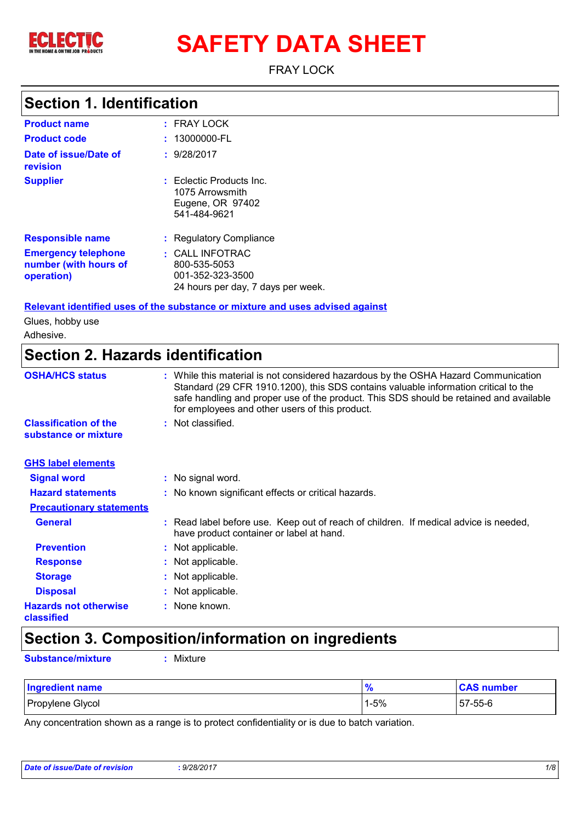

# **SAFETY DATA SHEET**

FRAY LOCK

### **Section 1. Identification**

| <b>Product name</b>                                               |    | $:$ FRAY LOCK                                                                             |
|-------------------------------------------------------------------|----|-------------------------------------------------------------------------------------------|
| <b>Product code</b>                                               |    | $: 13000000$ -FL                                                                          |
| Date of issue/Date of<br>revision                                 |    | : 9/28/2017                                                                               |
| <b>Supplier</b>                                                   |    | $:$ Eclectic Products Inc.<br>1075 Arrowsmith<br>Eugene, OR 97402<br>541-484-9621         |
| <b>Responsible name</b>                                           | ÷. | <b>Regulatory Compliance</b>                                                              |
| <b>Emergency telephone</b><br>number (with hours of<br>operation) |    | : CALL INFOTRAC<br>800-535-5053<br>001-352-323-3500<br>24 hours per day, 7 days per week. |

### **Relevant identified uses of the substance or mixture and uses advised against**

Glues, hobby use

Adhesive.

## **Section 2. Hazards identification**

| <b>OSHA/HCS status</b>                               | : While this material is not considered hazardous by the OSHA Hazard Communication<br>Standard (29 CFR 1910.1200), this SDS contains valuable information critical to the<br>safe handling and proper use of the product. This SDS should be retained and available<br>for employees and other users of this product. |
|------------------------------------------------------|-----------------------------------------------------------------------------------------------------------------------------------------------------------------------------------------------------------------------------------------------------------------------------------------------------------------------|
| <b>Classification of the</b><br>substance or mixture | : Not classified.                                                                                                                                                                                                                                                                                                     |
| <b>GHS label elements</b>                            |                                                                                                                                                                                                                                                                                                                       |
| <b>Signal word</b>                                   | : No signal word.                                                                                                                                                                                                                                                                                                     |
| <b>Hazard statements</b>                             | : No known significant effects or critical hazards.                                                                                                                                                                                                                                                                   |
| <b>Precautionary statements</b>                      |                                                                                                                                                                                                                                                                                                                       |
| <b>General</b>                                       | : Read label before use. Keep out of reach of children. If medical advice is needed,<br>have product container or label at hand.                                                                                                                                                                                      |
| <b>Prevention</b>                                    | : Not applicable.                                                                                                                                                                                                                                                                                                     |
| <b>Response</b>                                      | : Not applicable.                                                                                                                                                                                                                                                                                                     |
| <b>Storage</b>                                       | : Not applicable.                                                                                                                                                                                                                                                                                                     |
| <b>Disposal</b>                                      | : Not applicable.                                                                                                                                                                                                                                                                                                     |
| <b>Hazards not otherwise</b><br>classified           | : None known.                                                                                                                                                                                                                                                                                                         |

# **Section 3. Composition/information on ingredients**

**Substance/mixture :** Mixture

| Ingredient name  |        | <b>CAS number</b> |
|------------------|--------|-------------------|
| Propylene Glycol | $1-5%$ | 57-55-6           |

Any concentration shown as a range is to protect confidentiality or is due to batch variation.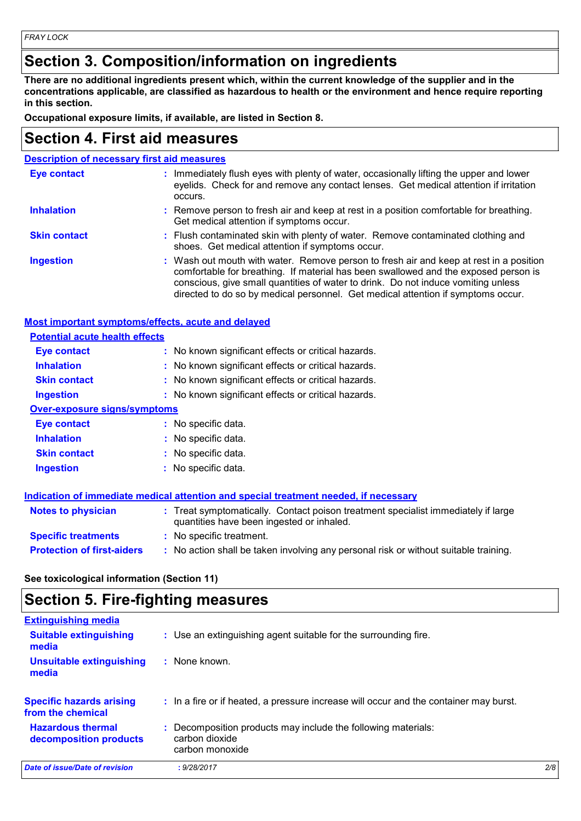# **Section 3. Composition/information on ingredients**

**There are no additional ingredients present which, within the current knowledge of the supplier and in the concentrations applicable, are classified as hazardous to health or the environment and hence require reporting in this section.**

**Occupational exposure limits, if available, are listed in Section 8.**

## **Section 4. First aid measures**

|                     | <b>Description of necessary first aid measures</b>                                                                                                                                                                                                                                                                                                     |
|---------------------|--------------------------------------------------------------------------------------------------------------------------------------------------------------------------------------------------------------------------------------------------------------------------------------------------------------------------------------------------------|
| <b>Eye contact</b>  | : Immediately flush eyes with plenty of water, occasionally lifting the upper and lower<br>eyelids. Check for and remove any contact lenses. Get medical attention if irritation<br>occurs.                                                                                                                                                            |
| <b>Inhalation</b>   | : Remove person to fresh air and keep at rest in a position comfortable for breathing.<br>Get medical attention if symptoms occur.                                                                                                                                                                                                                     |
| <b>Skin contact</b> | : Flush contaminated skin with plenty of water. Remove contaminated clothing and<br>shoes. Get medical attention if symptoms occur.                                                                                                                                                                                                                    |
| <b>Ingestion</b>    | : Wash out mouth with water. Remove person to fresh air and keep at rest in a position<br>comfortable for breathing. If material has been swallowed and the exposed person is<br>conscious, give small quantities of water to drink. Do not induce vomiting unless<br>directed to do so by medical personnel. Get medical attention if symptoms occur. |

### **Most important symptoms/effects, acute and delayed**

| : No known significant effects or critical hazards.<br>Eye contact<br><b>Inhalation</b><br>: No known significant effects or critical hazards.<br><b>Skin contact</b><br>: No known significant effects or critical hazards.<br>: No known significant effects or critical hazards.<br>Ingestion<br><b>Over-exposure signs/symptoms</b><br>Eye contact<br>: No specific data.<br><b>Inhalation</b><br>: No specific data.<br><b>Skin contact</b><br>$:$ No specific data.<br><b>Ingestion</b><br>: No specific data.<br>Indication of immediate medical attention and special treatment needed, if necessary<br>: Treat symptomatically. Contact poison treatment specialist immediately if large<br><b>Notes to physician</b><br>quantities have been ingested or inhaled. | <b>Potential acute health effects</b> |  |
|-----------------------------------------------------------------------------------------------------------------------------------------------------------------------------------------------------------------------------------------------------------------------------------------------------------------------------------------------------------------------------------------------------------------------------------------------------------------------------------------------------------------------------------------------------------------------------------------------------------------------------------------------------------------------------------------------------------------------------------------------------------------------------|---------------------------------------|--|
|                                                                                                                                                                                                                                                                                                                                                                                                                                                                                                                                                                                                                                                                                                                                                                             |                                       |  |
|                                                                                                                                                                                                                                                                                                                                                                                                                                                                                                                                                                                                                                                                                                                                                                             |                                       |  |
|                                                                                                                                                                                                                                                                                                                                                                                                                                                                                                                                                                                                                                                                                                                                                                             |                                       |  |
|                                                                                                                                                                                                                                                                                                                                                                                                                                                                                                                                                                                                                                                                                                                                                                             |                                       |  |
|                                                                                                                                                                                                                                                                                                                                                                                                                                                                                                                                                                                                                                                                                                                                                                             |                                       |  |
|                                                                                                                                                                                                                                                                                                                                                                                                                                                                                                                                                                                                                                                                                                                                                                             |                                       |  |
|                                                                                                                                                                                                                                                                                                                                                                                                                                                                                                                                                                                                                                                                                                                                                                             |                                       |  |
|                                                                                                                                                                                                                                                                                                                                                                                                                                                                                                                                                                                                                                                                                                                                                                             |                                       |  |
|                                                                                                                                                                                                                                                                                                                                                                                                                                                                                                                                                                                                                                                                                                                                                                             |                                       |  |
|                                                                                                                                                                                                                                                                                                                                                                                                                                                                                                                                                                                                                                                                                                                                                                             |                                       |  |
|                                                                                                                                                                                                                                                                                                                                                                                                                                                                                                                                                                                                                                                                                                                                                                             |                                       |  |
|                                                                                                                                                                                                                                                                                                                                                                                                                                                                                                                                                                                                                                                                                                                                                                             |                                       |  |
| <b>Specific treatments</b><br>: No specific treatment.                                                                                                                                                                                                                                                                                                                                                                                                                                                                                                                                                                                                                                                                                                                      |                                       |  |
| <b>Protection of first-aiders</b><br>: No action shall be taken involving any personal risk or without suitable training.                                                                                                                                                                                                                                                                                                                                                                                                                                                                                                                                                                                                                                                   |                                       |  |

**See toxicological information (Section 11)**

# **Section 5. Fire-fighting measures**

| <b>Extinguishing media</b>                           |                                                                                                  |     |
|------------------------------------------------------|--------------------------------------------------------------------------------------------------|-----|
| <b>Suitable extinguishing</b><br>media               | : Use an extinguishing agent suitable for the surrounding fire.                                  |     |
| <b>Unsuitable extinguishing</b><br>media             | : None known.                                                                                    |     |
| <b>Specific hazards arising</b><br>from the chemical | : In a fire or if heated, a pressure increase will occur and the container may burst.            |     |
| <b>Hazardous thermal</b><br>decomposition products   | Decomposition products may include the following materials:<br>carbon dioxide<br>carbon monoxide |     |
| Date of issue/Date of revision                       | : 9/28/2017                                                                                      | 2/8 |
|                                                      |                                                                                                  |     |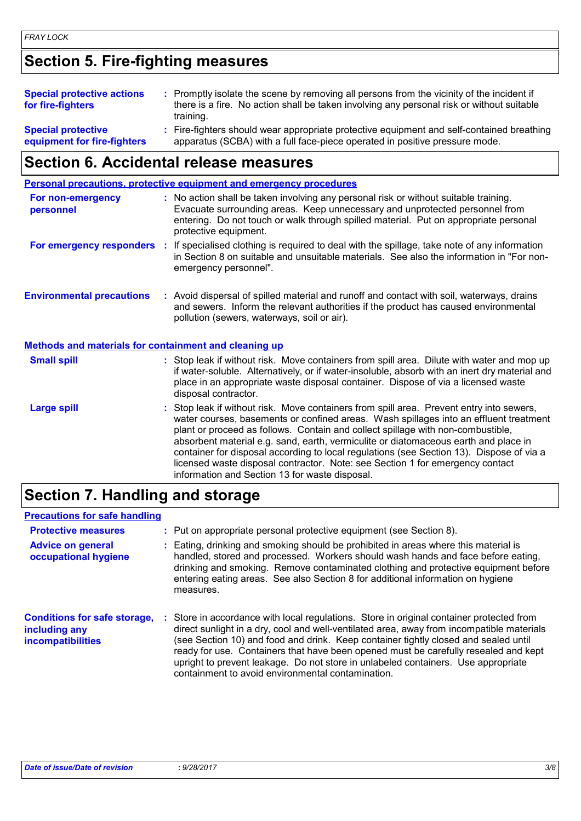# **Section 5. Fire-fighting measures**

| <b>Special protective actions</b><br>for fire-fighters   | : Promptly isolate the scene by removing all persons from the vicinity of the incident if<br>there is a fire. No action shall be taken involving any personal risk or without suitable<br>training. |
|----------------------------------------------------------|-----------------------------------------------------------------------------------------------------------------------------------------------------------------------------------------------------|
| <b>Special protective</b><br>equipment for fire-fighters | : Fire-fighters should wear appropriate protective equipment and self-contained breathing<br>apparatus (SCBA) with a full face-piece operated in positive pressure mode.                            |

# **Section 6. Accidental release measures**

|                                                              | Personal precautions, protective equipment and emergency procedures                                                                                                                                                                                                                                                                                                                                                                                                                                                                                                                        |
|--------------------------------------------------------------|--------------------------------------------------------------------------------------------------------------------------------------------------------------------------------------------------------------------------------------------------------------------------------------------------------------------------------------------------------------------------------------------------------------------------------------------------------------------------------------------------------------------------------------------------------------------------------------------|
| For non-emergency<br>personnel                               | : No action shall be taken involving any personal risk or without suitable training.<br>Evacuate surrounding areas. Keep unnecessary and unprotected personnel from<br>entering. Do not touch or walk through spilled material. Put on appropriate personal<br>protective equipment.                                                                                                                                                                                                                                                                                                       |
|                                                              | For emergency responders : If specialised clothing is required to deal with the spillage, take note of any information<br>in Section 8 on suitable and unsuitable materials. See also the information in "For non-<br>emergency personnel".                                                                                                                                                                                                                                                                                                                                                |
| <b>Environmental precautions</b>                             | : Avoid dispersal of spilled material and runoff and contact with soil, waterways, drains<br>and sewers. Inform the relevant authorities if the product has caused environmental<br>pollution (sewers, waterways, soil or air).                                                                                                                                                                                                                                                                                                                                                            |
| <b>Methods and materials for containment and cleaning up</b> |                                                                                                                                                                                                                                                                                                                                                                                                                                                                                                                                                                                            |
| <b>Small spill</b>                                           | : Stop leak if without risk. Move containers from spill area. Dilute with water and mop up<br>if water-soluble. Alternatively, or if water-insoluble, absorb with an inert dry material and<br>place in an appropriate waste disposal container. Dispose of via a licensed waste<br>disposal contractor.                                                                                                                                                                                                                                                                                   |
| <b>Large spill</b>                                           | : Stop leak if without risk. Move containers from spill area. Prevent entry into sewers,<br>water courses, basements or confined areas. Wash spillages into an effluent treatment<br>plant or proceed as follows. Contain and collect spillage with non-combustible,<br>absorbent material e.g. sand, earth, vermiculite or diatomaceous earth and place in<br>container for disposal according to local regulations (see Section 13). Dispose of via a<br>licensed waste disposal contractor. Note: see Section 1 for emergency contact<br>information and Section 13 for waste disposal. |

# **Section 7. Handling and storage**

### **Precautions for safe handling**

| <b>Protective measures</b><br><b>Advice on general</b><br>occupational hygiene | : Put on appropriate personal protective equipment (see Section 8).<br>Eating, drinking and smoking should be prohibited in areas where this material is<br>handled, stored and processed. Workers should wash hands and face before eating,<br>drinking and smoking. Remove contaminated clothing and protective equipment before<br>entering eating areas. See also Section 8 for additional information on hygiene<br>measures.                                                                          |
|--------------------------------------------------------------------------------|-------------------------------------------------------------------------------------------------------------------------------------------------------------------------------------------------------------------------------------------------------------------------------------------------------------------------------------------------------------------------------------------------------------------------------------------------------------------------------------------------------------|
| <b>Conditions for safe storage,</b><br>including any<br>incompatibilities      | Store in accordance with local regulations. Store in original container protected from<br>direct sunlight in a dry, cool and well-ventilated area, away from incompatible materials<br>(see Section 10) and food and drink. Keep container tightly closed and sealed until<br>ready for use. Containers that have been opened must be carefully resealed and kept<br>upright to prevent leakage. Do not store in unlabeled containers. Use appropriate<br>containment to avoid environmental contamination. |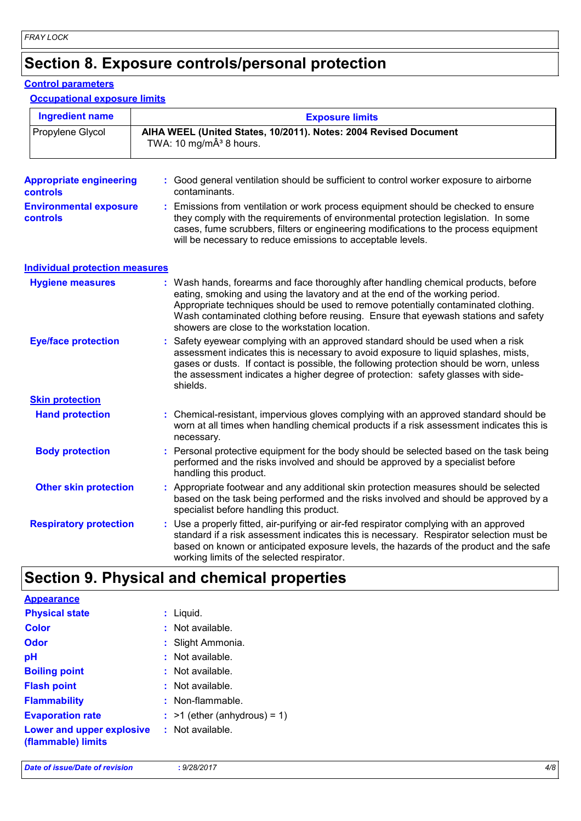# **Section 8. Exposure controls/personal protection**

### **Control parameters**

### **Occupational exposure limits**

| <b>Ingredient name</b>                            | <b>Exposure limits</b>                                                                                                                                                                                                                                                                                                                                                                            |
|---------------------------------------------------|---------------------------------------------------------------------------------------------------------------------------------------------------------------------------------------------------------------------------------------------------------------------------------------------------------------------------------------------------------------------------------------------------|
| Propylene Glycol                                  | AIHA WEEL (United States, 10/2011). Notes: 2004 Revised Document<br>TWA: 10 mg/mÂ <sup>3</sup> 8 hours.                                                                                                                                                                                                                                                                                           |
| <b>Appropriate engineering</b><br><b>controls</b> | : Good general ventilation should be sufficient to control worker exposure to airborne<br>contaminants.                                                                                                                                                                                                                                                                                           |
| <b>Environmental exposure</b><br><b>controls</b>  | : Emissions from ventilation or work process equipment should be checked to ensure<br>they comply with the requirements of environmental protection legislation. In some<br>cases, fume scrubbers, filters or engineering modifications to the process equipment<br>will be necessary to reduce emissions to acceptable levels.                                                                   |
| <b>Individual protection measures</b>             |                                                                                                                                                                                                                                                                                                                                                                                                   |
| <b>Hygiene measures</b>                           | : Wash hands, forearms and face thoroughly after handling chemical products, before<br>eating, smoking and using the lavatory and at the end of the working period.<br>Appropriate techniques should be used to remove potentially contaminated clothing.<br>Wash contaminated clothing before reusing. Ensure that eyewash stations and safety<br>showers are close to the workstation location. |
| <b>Eye/face protection</b>                        | : Safety eyewear complying with an approved standard should be used when a risk<br>assessment indicates this is necessary to avoid exposure to liquid splashes, mists,<br>gases or dusts. If contact is possible, the following protection should be worn, unless<br>the assessment indicates a higher degree of protection: safety glasses with side-<br>shields.                                |
| <b>Skin protection</b>                            |                                                                                                                                                                                                                                                                                                                                                                                                   |
| <b>Hand protection</b>                            | : Chemical-resistant, impervious gloves complying with an approved standard should be<br>worn at all times when handling chemical products if a risk assessment indicates this is<br>necessary.                                                                                                                                                                                                   |
| <b>Body protection</b>                            | : Personal protective equipment for the body should be selected based on the task being<br>performed and the risks involved and should be approved by a specialist before<br>handling this product.                                                                                                                                                                                               |
| <b>Other skin protection</b>                      | : Appropriate footwear and any additional skin protection measures should be selected<br>based on the task being performed and the risks involved and should be approved by a<br>specialist before handling this product.                                                                                                                                                                         |
| <b>Respiratory protection</b>                     | : Use a properly fitted, air-purifying or air-fed respirator complying with an approved<br>standard if a risk assessment indicates this is necessary. Respirator selection must be<br>based on known or anticipated exposure levels, the hazards of the product and the safe<br>working limits of the selected respirator.                                                                        |

# **Section 9. Physical and chemical properties**

| <b>Appearance</b>                               |                                |
|-------------------------------------------------|--------------------------------|
| <b>Physical state</b>                           | $:$ Liquid.                    |
| <b>Color</b>                                    | : Not available.               |
| <b>Odor</b>                                     | : Slight Ammonia.              |
| pH                                              | : Not available.               |
| <b>Boiling point</b>                            | : Not available.               |
| <b>Flash point</b>                              | : Not available.               |
| <b>Flammability</b>                             | : Non-flammable.               |
| <b>Evaporation rate</b>                         | $:$ >1 (ether (anhydrous) = 1) |
| Lower and upper explosive<br>(flammable) limits | : Not available.               |
|                                                 |                                |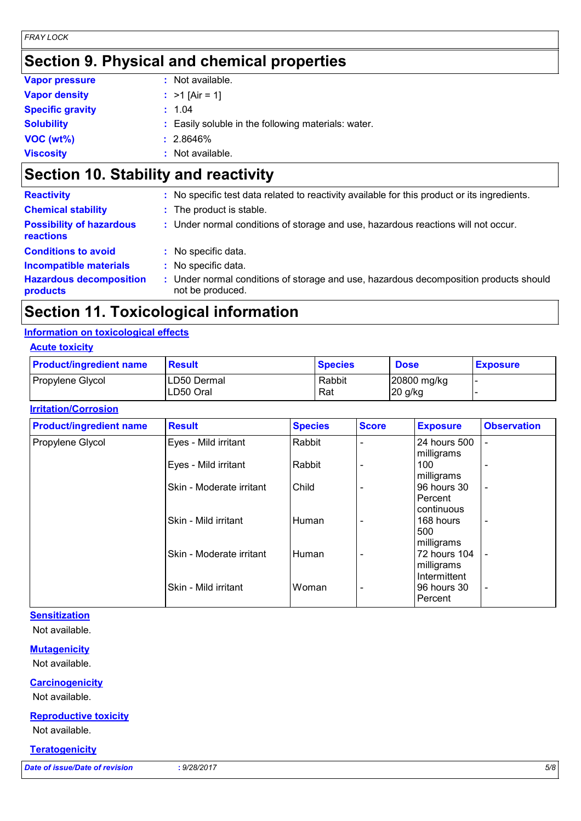# **Section 9. Physical and chemical properties**

| <b>Vapor pressure</b>   | $:$ Not available.                                  |
|-------------------------|-----------------------------------------------------|
| <b>Vapor density</b>    | : $>1$ [Air = 1]                                    |
| <b>Specific gravity</b> | : 1.04                                              |
| <b>Solubility</b>       | : Easily soluble in the following materials: water. |
| VOC(wt%)                | $: 2.8646\%$                                        |
| <b>Viscosity</b>        | : Not available.                                    |

# **Section 10. Stability and reactivity**

| : No specific test data related to reactivity available for this product or its ingredients.            |
|---------------------------------------------------------------------------------------------------------|
| : The product is stable.                                                                                |
| : Under normal conditions of storage and use, hazardous reactions will not occur.                       |
| : No specific data.                                                                                     |
| : No specific data.                                                                                     |
| Under normal conditions of storage and use, hazardous decomposition products should<br>not be produced. |
|                                                                                                         |

# **Section 11. Toxicological information**

### **Information on toxicological effects**

### **Acute toxicity**

| <b>Product/ingredient name</b> | Result                    | <b>Species</b> | <b>Dose</b>                          | <b>Exposure</b> |
|--------------------------------|---------------------------|----------------|--------------------------------------|-----------------|
| Propylene Glycol               | ILD50 Dermal<br>LD50 Oral | Rabbit<br>Rat  | $ 20800 \text{ mg/kg} $<br>$20$ g/kg |                 |

### **Irritation/Corrosion**

| <b>Product/ingredient name</b> | <b>Result</b>            | <b>Species</b> | <b>Score</b>                 | <b>Exposure</b>        | <b>Observation</b>       |
|--------------------------------|--------------------------|----------------|------------------------------|------------------------|--------------------------|
| Propylene Glycol               | Eyes - Mild irritant     | Rabbit         |                              | 24 hours 500           | $\overline{\phantom{a}}$ |
|                                |                          |                |                              | milligrams             |                          |
|                                | Eyes - Mild irritant     | Rabbit         |                              | 100                    | $\overline{\phantom{a}}$ |
|                                |                          |                |                              | milligrams             |                          |
|                                | Skin - Moderate irritant | Child          |                              | 96 hours 30<br>Percent | $\overline{\phantom{a}}$ |
|                                |                          |                |                              | continuous             |                          |
|                                | Skin - Mild irritant     | Human          |                              | 168 hours              | $\overline{\phantom{a}}$ |
|                                |                          |                |                              | 500                    |                          |
|                                |                          |                |                              | milligrams             |                          |
|                                | Skin - Moderate irritant | Human          |                              | 72 hours 104           |                          |
|                                |                          |                |                              | milligrams             |                          |
|                                |                          |                |                              | Intermittent           |                          |
|                                | Skin - Mild irritant     | Woman          | $\qquad \qquad \blacksquare$ | 96 hours 30            | $\overline{\phantom{a}}$ |
|                                |                          |                |                              | Percent                |                          |

### **Sensitization**

Not available.

### **Mutagenicity**

Not available.

### **Carcinogenicity**

Not available.

### **Reproductive toxicity**

Not available.

#### **Teratogenicity**

*Date of issue/Date of revision* **:** *9/28/2017 5/8*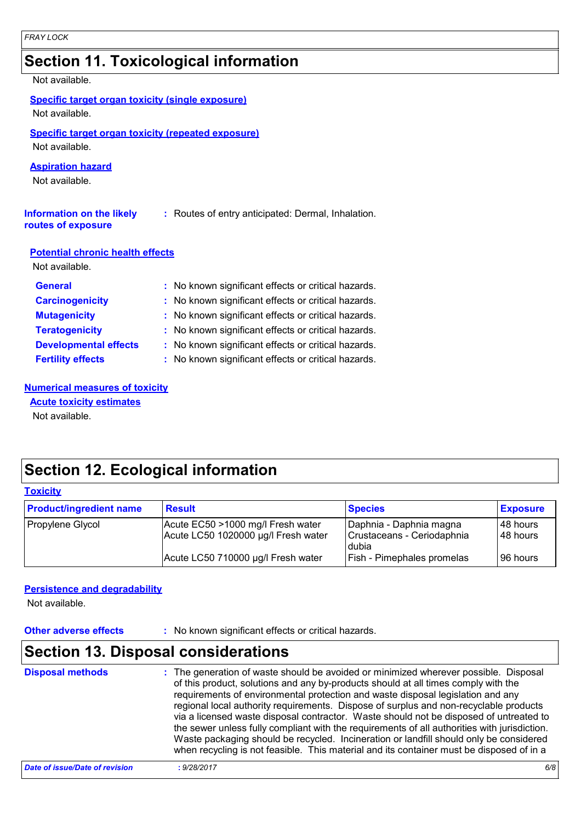# **Section 11. Toxicological information**

#### Not available.

|  |  |  |  | Specific target organ toxicity (single exposure) |
|--|--|--|--|--------------------------------------------------|
|--|--|--|--|--------------------------------------------------|

Not available.

### **Specific target organ toxicity (repeated exposure)**

Not available.

### **Aspiration hazard**

Not available.

| <b>Information on the likely</b> | : Routes of entry anticipated: Dermal, Inhalation. |
|----------------------------------|----------------------------------------------------|
| routes of exposure               |                                                    |

### **Potential chronic health effects**

Not available.

| <b>General</b>               | : No known significant effects or critical hazards. |
|------------------------------|-----------------------------------------------------|
| <b>Carcinogenicity</b>       | : No known significant effects or critical hazards. |
| <b>Mutagenicity</b>          | : No known significant effects or critical hazards. |
| <b>Teratogenicity</b>        | : No known significant effects or critical hazards. |
| <b>Developmental effects</b> | : No known significant effects or critical hazards. |
| <b>Fertility effects</b>     | : No known significant effects or critical hazards. |

### **Numerical measures of toxicity**

Not available. **Acute toxicity estimates**

# **Section 12. Ecological information**

| <b>Toxicity</b>                |                                                                          |                                                                |                        |  |
|--------------------------------|--------------------------------------------------------------------------|----------------------------------------------------------------|------------------------|--|
| <b>Product/ingredient name</b> | <b>Result</b>                                                            | <b>Species</b>                                                 | <b>Exposure</b>        |  |
| Propylene Glycol               | Acute EC50 >1000 mg/l Fresh water<br>Acute LC50 1020000 µg/l Fresh water | Daphnia - Daphnia magna<br>Crustaceans - Ceriodaphnia<br>dubia | 148 hours<br>148 hours |  |
|                                | Acute LC50 710000 µg/l Fresh water                                       | Fish - Pimephales promelas                                     | 196 hours              |  |

### **Persistence and degradability**

Not available.

**Other adverse effects** : No known significant effects or critical hazards.

# **Section 13. Disposal considerations**

| <b>Disposal methods</b>        | : The generation of waste should be avoided or minimized wherever possible. Disposal<br>of this product, solutions and any by-products should at all times comply with the<br>requirements of environmental protection and waste disposal legislation and any<br>regional local authority requirements. Dispose of surplus and non-recyclable products<br>via a licensed waste disposal contractor. Waste should not be disposed of untreated to<br>the sewer unless fully compliant with the requirements of all authorities with jurisdiction.<br>Waste packaging should be recycled. Incineration or landfill should only be considered<br>when recycling is not feasible. This material and its container must be disposed of in a |  |
|--------------------------------|----------------------------------------------------------------------------------------------------------------------------------------------------------------------------------------------------------------------------------------------------------------------------------------------------------------------------------------------------------------------------------------------------------------------------------------------------------------------------------------------------------------------------------------------------------------------------------------------------------------------------------------------------------------------------------------------------------------------------------------|--|
| Date of issue/Date of revision | 6/8<br>: 9/28/2017                                                                                                                                                                                                                                                                                                                                                                                                                                                                                                                                                                                                                                                                                                                     |  |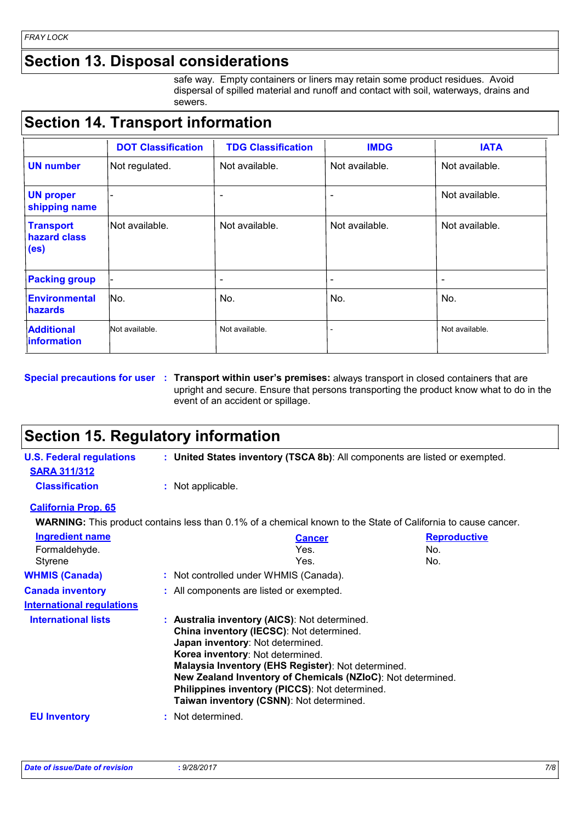### **Section 13. Disposal considerations**

safe way. Empty containers or liners may retain some product residues. Avoid dispersal of spilled material and runoff and contact with soil, waterways, drains and sewers.

# **Section 14. Transport information**

|                                                       | <b>DOT Classification</b> | <b>TDG Classification</b> | <b>IMDG</b>              | <b>IATA</b>    |
|-------------------------------------------------------|---------------------------|---------------------------|--------------------------|----------------|
| <b>UN number</b>                                      | Not regulated.            | Not available.            | Not available.           | Not available. |
| <b>UN proper</b><br>shipping name                     | $\overline{\phantom{0}}$  | $\overline{\phantom{a}}$  | $\qquad \qquad$          | Not available. |
| <b>Transport</b><br>hazard class<br>(e <sub>s</sub> ) | Not available.            | Not available.            | Not available.           | Not available. |
| <b>Packing group</b>                                  |                           | $\overline{\phantom{0}}$  | $\overline{\phantom{0}}$ | ۰              |
| <b>Environmental</b><br>hazards                       | No.                       | No.                       | No.                      | No.            |
| <b>Additional</b><br>linformation                     | Not available.            | Not available.            |                          | Not available. |

**Special precautions for user** : Transport within user's premises: always transport in closed containers that are upright and secure. Ensure that persons transporting the product know what to do in the event of an accident or spillage.

# **Section 15. Regulatory information**

**U.S. Federal regulations WARNING:** This product contains less than 0.1% of a chemical known to the State of California to cause cancer. **: United States inventory (TSCA 8b)**: All components are listed or exempted. **California Prop. 65 Canada inventory :** All components are listed or exempted. **Australia inventory (AICS)**: Not determined. **China inventory (IECSC)**: Not determined. **Japan inventory**: Not determined. **Korea inventory**: Not determined. **Malaysia Inventory (EHS Register)**: Not determined. **New Zealand Inventory of Chemicals (NZIoC)**: Not determined. **International regulations International lists : SARA 311/312 Classification :** Not applicable. Formaldehyde. No. 2008 and the Second Second Second Second Ves. No. 2010. No. 2010 Styrene Yes. No. **Ingredient name Cancer Cancer Reproductive WHMIS (Canada) :** Not controlled under WHMIS (Canada).

> **Philippines inventory (PICCS)**: Not determined. **Taiwan inventory (CSNN)**: Not determined.

**EU Inventory :** Not determined.